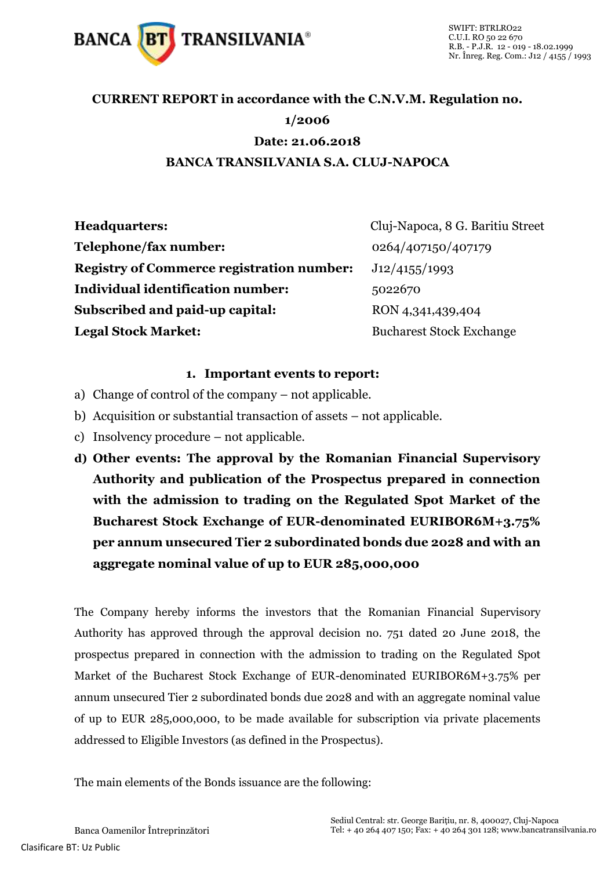

## **CURRENT REPORT in accordance with the C.N.V.M. Regulation no. 1/2006 Date: 21.06.2018 BANCA TRANSILVANIA S.A. CLUJ-NAPOCA**

| <b>Headquarters:</b>                             | Cluj-Napoca, 8 G. Baritiu Street |
|--------------------------------------------------|----------------------------------|
| Telephone/fax number:                            | 0264/407150/407179               |
| <b>Registry of Commerce registration number:</b> | J12/4155/1993                    |
| Individual identification number:                | 5022670                          |
| Subscribed and paid-up capital:                  | RON 4,341,439,404                |
| <b>Legal Stock Market:</b>                       | <b>Bucharest Stock Exchange</b>  |

## **1. Important events to report:**

- a) Change of control of the company not applicable.
- b) Acquisition or substantial transaction of assets not applicable.
- c) Insolvency procedure not applicable.
- **d) Other events: The approval by the Romanian Financial Supervisory Authority and publication of the Prospectus prepared in connection with the admission to trading on the Regulated Spot Market of the Bucharest Stock Exchange of EUR-denominated EURIBOR6M+3.75% per annum unsecured Tier 2 subordinated bonds due 2028 and with an aggregate nominal value of up to EUR 285,000,000**

The Company hereby informs the investors that the Romanian Financial Supervisory Authority has approved through the approval decision no. 751 dated 20 June 2018, the prospectus prepared in connection with the admission to trading on the Regulated Spot Market of the Bucharest Stock Exchange of EUR-denominated EURIBOR6M+3.75% per annum unsecured Tier 2 subordinated bonds due 2028 and with an aggregate nominal value of up to EUR 285,000,000, to be made available for subscription via private placements addressed to Eligible Investors (as defined in the Prospectus).

The main elements of the Bonds issuance are the following: